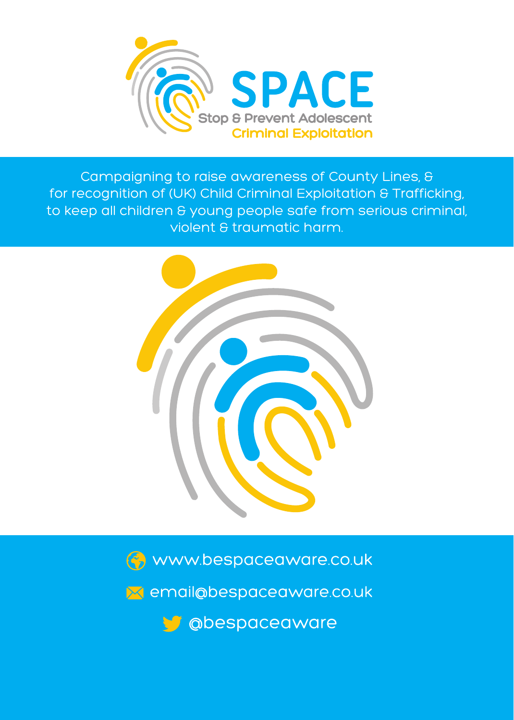

Campaigning to raise awareness of County Lines, & for recognition of (UK) Child Criminal Exploitation & Trafficking, to keep all children & young people safe from serious criminal, violent & traumatic harm.



Www.bespaceaware.co.uk

M email@bespaceaware.co.uk

**V** @bespaceaware